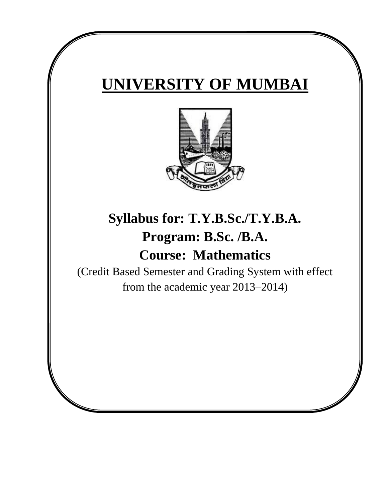# **UNIVERSITY OF MUMBAI**



# **Syllabus for: T.Y.B.Sc./T.Y.B.A. Program: B.Sc. /B.A. Course: Mathematics**

(Credit Based Semester and Grading System with effect from the academic year 2013–2014)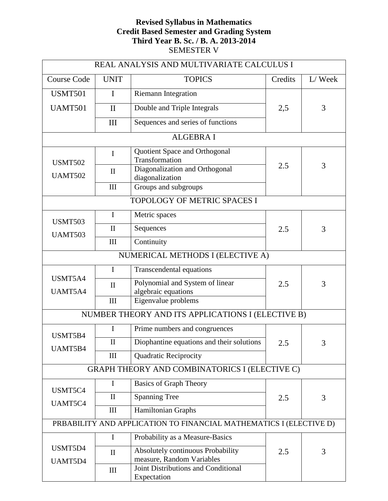# **Revised Syllabus in Mathematics Credit Based Semester and Grading System Third Year B. Sc. / B. A. 2013-2014** SEMESTER V

| REAL ANALYSIS AND MULTIVARIATE CALCULUS I                          |              |                                                                |         |        |  |
|--------------------------------------------------------------------|--------------|----------------------------------------------------------------|---------|--------|--|
| <b>Course Code</b>                                                 | <b>UNIT</b>  | <b>TOPICS</b>                                                  | Credits | L/Week |  |
| <b>USMT501</b>                                                     | I            | <b>Riemann Integration</b>                                     |         |        |  |
| <b>UAMT501</b><br>$\mathbf{I}$                                     |              | Double and Triple Integrals                                    | 2,5     | 3      |  |
|                                                                    | III          | Sequences and series of functions                              |         |        |  |
|                                                                    |              | <b>ALGEBRA I</b>                                               |         |        |  |
| <b>USMT502</b>                                                     | $\mathbf I$  | Quotient Space and Orthogonal<br>Transformation                |         |        |  |
| <b>UAMT502</b>                                                     | $\mathbf{I}$ | Diagonalization and Orthogonal<br>diagonalization              | 2.5     | 3      |  |
|                                                                    | III          | Groups and subgroups                                           |         |        |  |
|                                                                    |              | TOPOLOGY OF METRIC SPACES I                                    |         |        |  |
| <b>USMT503</b>                                                     | $\mathbf I$  | Metric spaces                                                  |         |        |  |
| <b>UAMT503</b>                                                     | $\mathbf{I}$ | Sequences                                                      | 2.5     | 3      |  |
|                                                                    | III          | Continuity                                                     |         |        |  |
|                                                                    |              | NUMERICAL METHODS I (ELECTIVE A)                               |         |        |  |
|                                                                    | $\mathbf I$  | Transcendental equations                                       |         |        |  |
| USMT5A4                                                            | $\mathbf{I}$ | Polynomial and System of linear                                | 2.5     | 3      |  |
| UAMT5A4<br>III                                                     |              | algebraic equations<br>Eigenvalue problems                     |         |        |  |
| NUMBER THEORY AND ITS APPLICATIONS I (ELECTIVE B)                  |              |                                                                |         |        |  |
| Ι<br>Prime numbers and congruences                                 |              |                                                                |         |        |  |
| USMT5B4                                                            | $\mathbf{I}$ | Diophantine equations and their solutions                      |         |        |  |
| UAMT5B4                                                            |              |                                                                | 2.5     | 3      |  |
| <b>Quadratic Reciprocity</b><br>III                                |              |                                                                |         |        |  |
|                                                                    |              | GRAPH THEORY AND COMBINATORICS I (ELECTIVE C)                  |         |        |  |
| USMT5C4                                                            | $\mathbf I$  | <b>Basics of Graph Theory</b>                                  |         |        |  |
| UAMT5C4                                                            | $\mathbf{I}$ | <b>Spanning Tree</b>                                           | 2.5     | 3      |  |
|                                                                    | III          | Hamiltonian Graphs                                             |         |        |  |
| PRBABILITY AND APPLICATION TO FINANCIAL MATHEMATICS I (ELECTIVE D) |              |                                                                |         |        |  |
|                                                                    | $\mathbf I$  | Probability as a Measure-Basics                                |         |        |  |
| USMT5D4<br>UAMT5D4                                                 | $\mathbf{I}$ | Absolutely continuous Probability<br>measure, Random Variables | 2.5     | 3      |  |
|                                                                    | III          | Joint Distributions and Conditional<br>Expectation             |         |        |  |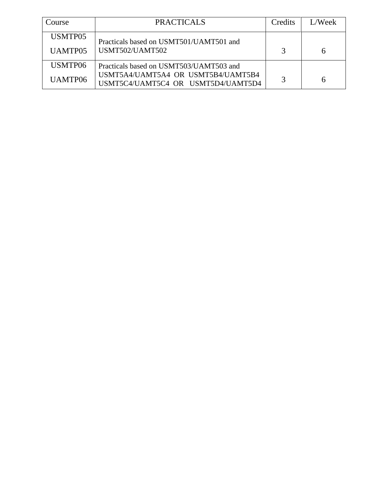| Course         | <b>PRACTICALS</b>                                                        | Credits       | L/Week |
|----------------|--------------------------------------------------------------------------|---------------|--------|
| USMTP05        | Practicals based on USMT501/UAMT501 and                                  |               |        |
| <b>UAMTP05</b> | USMT502/UAMT502                                                          | $\mathcal{R}$ |        |
| USMTP06        | Practicals based on USMT503/UAMT503 and                                  |               |        |
| UAMTP06        | USMT5A4/UAMT5A4 OR USMT5B4/UAMT5B4<br>USMT5C4/UAMT5C4 OR USMT5D4/UAMT5D4 |               |        |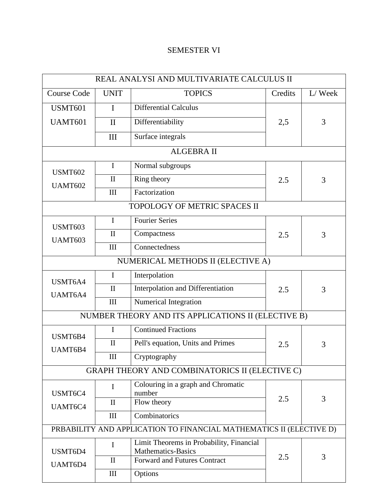# SEMESTER VI

| REAL ANALYSI AND MULTIVARIATE CALCULUS II                           |              |                                                    |          |        |  |
|---------------------------------------------------------------------|--------------|----------------------------------------------------|----------|--------|--|
| <b>Course Code</b>                                                  | <b>UNIT</b>  | <b>TOPICS</b>                                      | Credits  | L/Week |  |
| <b>USMT601</b>                                                      | $\mathbf I$  | <b>Differential Calculus</b>                       |          |        |  |
| <b>UAMT601</b><br>$\mathbf{I}$                                      |              | Differentiability                                  | 2,5      | 3      |  |
|                                                                     | III          | Surface integrals                                  |          |        |  |
|                                                                     |              | <b>ALGEBRA II</b>                                  |          |        |  |
| <b>USMT602</b>                                                      | $\mathbf I$  | Normal subgroups                                   |          |        |  |
| <b>UAMT602</b>                                                      | $\mathbf{I}$ | Ring theory                                        | 2.5      | 3      |  |
|                                                                     | III          | Factorization                                      |          |        |  |
|                                                                     |              | TOPOLOGY OF METRIC SPACES II                       |          |        |  |
| <b>USMT603</b>                                                      | $\mathbf I$  | <b>Fourier Series</b>                              |          |        |  |
| <b>UAMT603</b>                                                      | $\mathbf{I}$ | Compactness                                        | 2.5      | 3      |  |
|                                                                     | III          | Connectedness                                      |          |        |  |
|                                                                     |              | NUMERICAL METHODS II (ELECTIVE A)                  |          |        |  |
| USMT6A4                                                             | $\mathbf I$  | Interpolation                                      |          |        |  |
| UAMT6A4                                                             | $\mathbf{I}$ | Interpolation and Differentiation                  | 2.5<br>3 |        |  |
|                                                                     | III          | Numerical Integration                              |          |        |  |
|                                                                     |              | NUMBER THEORY AND ITS APPLICATIONS II (ELECTIVE B) |          |        |  |
| USMT6B4                                                             | $\mathbf{I}$ | <b>Continued Fractions</b>                         |          |        |  |
| UAMT6B4                                                             | $\mathbf{I}$ | Pell's equation, Units and Primes                  | 2.5      | 3      |  |
|                                                                     | $\rm III$    | Cryptography                                       |          |        |  |
| GRAPH THEORY AND COMBINATORICS II (ELECTIVE C)                      |              |                                                    |          |        |  |
|                                                                     | Ι            | Colouring in a graph and Chromatic                 |          |        |  |
| USMT6C4                                                             | $\mathbf{I}$ | number<br>Flow theory                              | 3<br>2.5 |        |  |
| UAMT6C4                                                             | III          | Combinatorics                                      |          |        |  |
| PRBABILITY AND APPLICATION TO FINANCIAL MATHEMATICS II (ELECTIVE D) |              |                                                    |          |        |  |
|                                                                     | I            | Limit Theorems in Probability, Financial           |          |        |  |
| USMT6D4                                                             |              | <b>Mathematics-Basics</b>                          | 2.5      | 3      |  |
| UAMT6D4                                                             | $\mathbf{I}$ | <b>Forward and Futures Contract</b>                |          |        |  |
|                                                                     | $\rm III$    | Options                                            |          |        |  |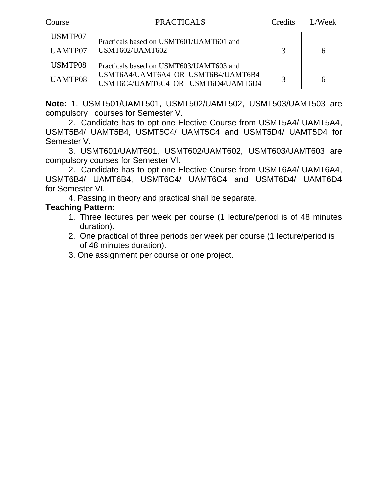| Course         | <b>PRACTICALS</b>                                                        | Credits | L/Week |
|----------------|--------------------------------------------------------------------------|---------|--------|
| USMTP07        | Practicals based on USMT601/UAMT601 and                                  |         |        |
| UAMTP07        | USMT602/UAMT602                                                          |         |        |
| USMTP08        | Practicals based on USMT603/UAMT603 and                                  |         |        |
| <b>UAMTP08</b> | USMT6A4/UAMT6A4 OR USMT6B4/UAMT6B4<br>USMT6C4/UAMT6C4 OR USMT6D4/UAMT6D4 |         |        |

**Note:** 1. USMT501/UAMT501, USMT502/UAMT502, USMT503/UAMT503 are compulsory courses for Semester V.

2. Candidate has to opt one Elective Course from USMT5A4/ UAMT5A4, USMT5B4/ UAMT5B4, USMT5C4/ UAMT5C4 and USMT5D4/ UAMT5D4 for Semester V.

3. USMT601/UAMT601, USMT602/UAMT602, USMT603/UAMT603 are compulsory courses for Semester VI.

2. Candidate has to opt one Elective Course from USMT6A4/ UAMT6A4, USMT6B4/ UAMT6B4, USMT6C4/ UAMT6C4 and USMT6D4/ UAMT6D4 for Semester VI.

4. Passing in theory and practical shall be separate.

# **Teaching Pattern:**

- 1. Three lectures per week per course (1 lecture/period is of 48 minutes duration).
- 2. One practical of three periods per week per course (1 lecture/period is of 48 minutes duration).
- 3. One assignment per course or one project.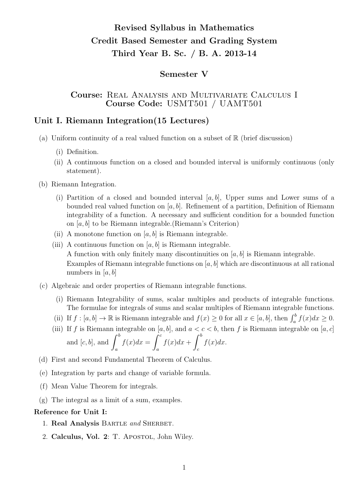# Revised Syllabus in Mathematics Credit Based Semester and Grading System Third Year B. Sc. / B. A. 2013-14

# Semester V

# Course: Real Analysis and Multivariate Calculus I Course Code: USMT501 / UAMT501

# Unit I. Riemann Integration(15 Lectures)

- (a) Uniform continuity of a real valued function on a subset of  $\mathbb R$  (brief discussion)
	- (i) Definition.
	- (ii) A continuous function on a closed and bounded interval is uniformly continuous (only statement).
- (b) Riemann Integration.
	- (i) Partition of a closed and bounded interval  $[a, b]$ , Upper sums and Lower sums of a bounded real valued function on  $[a, b]$ . Refinement of a partition, Definition of Riemann integrability of a function. A necessary and sufficient condition for a bounded function on [a, b] to be Riemann integrable.(Riemann's Criterion)
	- (ii) A monotone function on  $[a, b]$  is Riemann integrable.
	- (iii) A continuous function on  $[a, b]$  is Riemann integrable. A function with only finitely many discontinuities on  $[a, b]$  is Riemann integrable. Examples of Riemann integrable functions on  $[a, b]$  which are discontinuous at all rational numbers in  $[a, b]$
- (c) Algebraic and order properties of Riemann integrable functions.
	- (i) Riemann Integrability of sums, scalar multiples and products of integrable functions. The formulae for integrals of sums and scalar multiples of Riemann integrable functions.
	- (ii) If  $f : [a, b] \to \mathbb{R}$  is Riemann integrable and  $f(x) \ge 0$  for all  $x \in [a, b]$ , then  $\int_a^b f(x) dx \ge 0$ .
	- (iii) If f is Riemann integrable on  $[a, b]$ , and  $a < c < b$ , then f is Riemann integrable on  $[a, c]$ and  $[c, b]$ , and  $\int^b$ a  $f(x)dx = \int_0^c$ a  $f(x)dx + \int^b$ c  $f(x)dx$ .
- (d) First and second Fundamental Theorem of Calculus.
- (e) Integration by parts and change of variable formula.
- (f) Mean Value Theorem for integrals.
- (g) The integral as a limit of a sum, examples.

#### Reference for Unit I:

- 1. Real Analysis BARTLE and SHERBET.
- 2. Calculus, Vol. 2: T. Apostol, John Wiley.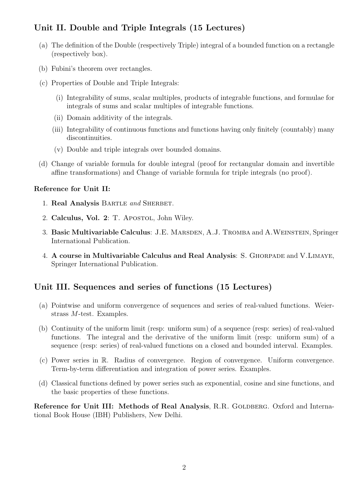# Unit II. Double and Triple Integrals (15 Lectures)

- (a) The definition of the Double (respectively Triple) integral of a bounded function on a rectangle (respectively box).
- (b) Fubini's theorem over rectangles.
- (c) Properties of Double and Triple Integrals:
	- (i) Integrability of sums, scalar multiples, products of integrable functions, and formulae for integrals of sums and scalar multiples of integrable functions.
	- (ii) Domain additivity of the integrals.
	- (iii) Integrability of continuous functions and functions having only finitely (countably) many discontinuities.
	- (v) Double and triple integrals over bounded domains.
- (d) Change of variable formula for double integral (proof for rectangular domain and invertible affine transformations) and Change of variable formula for triple integrals (no proof).

#### Reference for Unit II:

- 1. Real Analysis BARTLE and SHERBET.
- 2. Calculus, Vol. 2: T. Apostol, John Wiley.
- 3. Basic Multivariable Calculus: J.E. MARSDEN, A.J. TROMBA and A.WEINSTEIN, Springer International Publication.
- 4. A course in Multivariable Calculus and Real Analysis: S. GHORPADE and V.LIMAYE, Springer International Publication.

# Unit III. Sequences and series of functions (15 Lectures)

- (a) Pointwise and uniform convergence of sequences and series of real-valued functions. Weierstrass M-test. Examples.
- (b) Continuity of the uniform limit (resp: uniform sum) of a sequence (resp: series) of real-valued functions. The integral and the derivative of the uniform limit (resp: uniform sum) of a sequence (resp: series) of real-valued functions on a closed and bounded interval. Examples.
- (c) Power series in R. Radius of convergence. Region of convergence. Uniform convergence. Term-by-term differentiation and integration of power series. Examples.
- (d) Classical functions defined by power series such as exponential, cosine and sine functions, and the basic properties of these functions.

Reference for Unit III: Methods of Real Analysis, R.R. GOLDBERG. Oxford and International Book House (IBH) Publishers, New Delhi.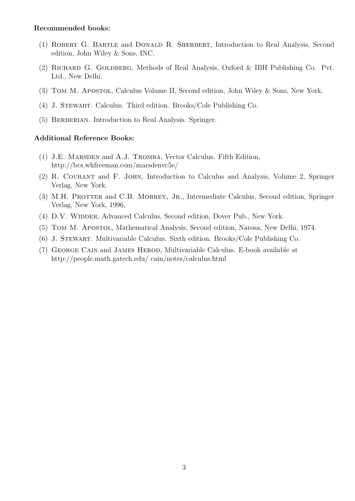#### Recommended books:

- (1) Robert G. Bartle and Donald R. Sherbert, Introduction to Real Analysis, Second edition, John Wiley & Sons, INC.
- (2) Richard G. Goldberg, Methods of Real Analysis, Oxford & IBH Publishing Co. Pvt. Ltd., New Delhi.
- (3) Tom M. Apostol, Calculus Volume II, Second edition, John Wiley & Sons, New York.
- (4) J. Stewart. Calculus. Third edition. Brooks/Cole Publishing Co.
- (5) BERBERIAN. Introduction to Real Analysis. Springer.

#### Additional Reference Books:

- (1) J.E. Marsden and A.J. Tromba, Vector Calculus. Fifth Edition, http://bcs.whfreeman.com/marsdenvc5e/
- (2) R. Courant and F. John, Introduction to Calculus and Analysis, Volume 2, Springer Verlag, New York.
- (3) M.H. PROTTER and C.B. MORREY, JR., Intermediate Calculus, Second edition, Springer Verlag, New York, 1996.
- (4) D.V. WIDDER, Advanced Calculus, Second edition, Dover Pub., New York.
- (5) Tom M. Apostol, Mathematical Analysis, Second edition, Narosa, New Delhi, 1974.
- (6) J. Stewart. Multivariable Calculus. Sixth edition. Brooks/Cole Publishing Co.
- (7) George Cain and James Herod, Multivariable Calculus. E-book available at http://people.math.gatech.edu/ cain/notes/calculus.html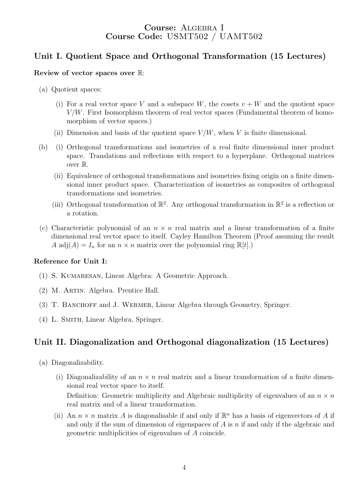# Course: ALGEBRA I Course Code: USMT502 / UAMT502

# Unit I. Quotient Space and Orthogonal Transformation (15 Lectures)

#### Review of vector spaces over R:

- (a) Quotient spaces:
	- (i) For a real vector space V and a subspace W, the cosets  $v + W$  and the quotient space  $V/W$ . First Isomorphism theorem of real vector spaces (Fundamental theorem of homomorphism of vector spaces.)
	- (ii) Dimension and basis of the quotient space  $V/W$ , when V is finite dimensional.
- (b) (i) Orthogonal transformations and isometries of a real finite dimensional inner product space. Translations and reflections with respect to a hyperplane. Orthogonal matrices over R.
	- (ii) Equivalence of orthogonal transformations and isometries fixing origin on a finite dimensional inner product space. Characterization of isometries as composites of orthogonal transformations and isometries.
	- (iii) Orthogonal transformation of  $\mathbb{R}^2$ . Any orthogonal transformation in  $\mathbb{R}^2$  is a reflection or a rotation.
- (c) Characteristic polynomial of an  $n \times n$  real matrix and a linear transformation of a finite dimensional real vector space to itself. Cayley Hamilton Theorem (Proof assuming the result A adj $(A) = I_n$  for an  $n \times n$  matrix over the polynomial ring  $\mathbb{R}[t]$ .)

#### Reference for Unit I:

- (1) S. Kumaresan, Linear Algebra: A Geometric Approach.
- (2) M. Artin. Algebra. Prentice Hall.
- (3) T. Banchoff and J. Wermer, Linear Algebra through Geometry, Springer.
- (4) L. Smith, Linear Algebra, Springer.

# Unit II. Diagonalization and Orthogonal diagonalization (15 Lectures)

- (a) Diagonalizability.
	- (i) Diagonalizability of an  $n \times n$  real matrix and a linear transformation of a finite dimensional real vector space to itself. Definition: Geometric multiplicity and Algebraic multiplicity of eigenvalues of an  $n \times n$ real matrix and of a linear transformation.
	- (ii) An  $n \times n$  matrix A is diagonalisable if and only if  $\mathbb{R}^n$  has a basis of eigenvectors of A if and only if the sum of dimension of eigenspaces of  $A$  is  $n$  if and only if the algebraic and geometric multiplicities of eigenvalues of A coincide.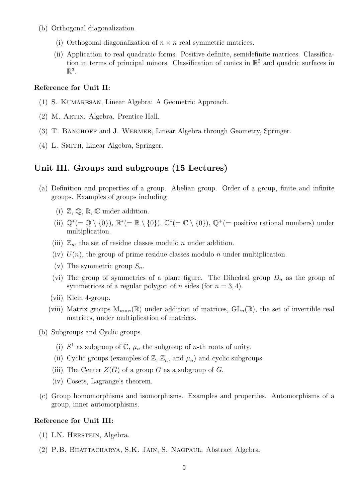- (b) Orthogonal diagonalization
	- (i) Orthogonal diagonalization of  $n \times n$  real symmetric matrices.
	- (ii) Application to real quadratic forms. Positive definite, semidefinite matrices. Classification in terms of principal minors. Classification of conics in  $\mathbb{R}^2$  and quadric surfaces in  $\mathbb{R}^3$ .

#### Reference for Unit II:

- (1) S. Kumaresan, Linear Algebra: A Geometric Approach.
- (2) M. Artin. Algebra. Prentice Hall.
- (3) T. Banchoff and J. Wermer, Linear Algebra through Geometry, Springer.
- (4) L. Smith, Linear Algebra, Springer.

### Unit III. Groups and subgroups (15 Lectures)

- (a) Definition and properties of a group. Abelian group. Order of a group, finite and infinite groups. Examples of groups including
	- (i)  $\mathbb{Z}, \mathbb{Q}, \mathbb{R}, \mathbb{C}$  under addition.
	- (ii)  $\mathbb{Q}^*$  (=  $\mathbb{Q} \setminus \{0\}$ ),  $\mathbb{R}^*$  (=  $\mathbb{R} \setminus \{0\}$ ),  $\mathbb{C}^*$  (=  $\mathbb{C} \setminus \{0\}$ ),  $\mathbb{Q}^+$  (= positive rational numbers) under multiplication.
	- (iii)  $\mathbb{Z}_n$ , the set of residue classes modulo *n* under addition.
	- (iv)  $U(n)$ , the group of prime residue classes modulo n under multiplication.
	- (v) The symmetric group  $S_n$ .
	- (vi) The group of symmetries of a plane figure. The Dihedral group  $D_n$  as the group of symmetrices of a regular polygon of *n* sides (for  $n = 3, 4$ ).
	- (vii) Klein 4-group.
	- (viii) Matrix groups  $M_{m\times n}(\mathbb{R})$  under addition of matrices,  $GL_n(\mathbb{R})$ , the set of invertible real matrices, under multiplication of matrices.
- (b) Subgroups and Cyclic groups.
	- (i)  $S^1$  as subgroup of  $\mathbb{C}$ ,  $\mu_n$  the subgroup of *n*-th roots of unity.
	- (ii) Cyclic groups (examples of  $\mathbb{Z}, \mathbb{Z}_n$ , and  $\mu_n$ ) and cyclic subgroups.
	- (iii) The Center  $Z(G)$  of a group G as a subgroup of G.
	- (iv) Cosets, Lagrange's theorem.
- (c) Group homomorphisms and isomorphisms. Examples and properties. Automorphisms of a group, inner automorphisms.

#### Reference for Unit III:

- (1) I.N. Herstein, Algebra.
- (2) P.B. Bhattacharya, S.K. Jain, S. Nagpaul. Abstract Algebra.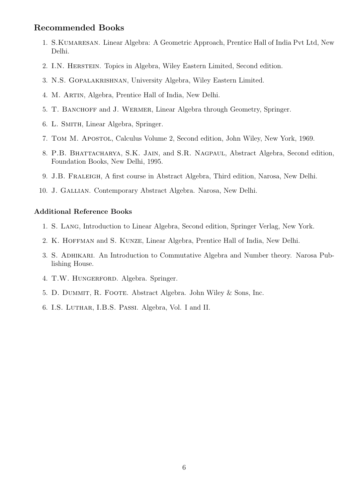### Recommended Books

- 1. S. KUMARESAN. Linear Algebra: A Geometric Approach, Prentice Hall of India Pvt Ltd, New Delhi.
- 2. I.N. Herstein. Topics in Algebra, Wiley Eastern Limited, Second edition.
- 3. N.S. Gopalakrishnan, University Algebra, Wiley Eastern Limited.
- 4. M. Artin, Algebra, Prentice Hall of India, New Delhi.
- 5. T. Banchoff and J. Wermer, Linear Algebra through Geometry, Springer.
- 6. L. Smith, Linear Algebra, Springer.
- 7. Tom M. Apostol, Calculus Volume 2, Second edition, John Wiley, New York, 1969.
- 8. P.B. Bhattacharya, S.K. Jain, and S.R. Nagpaul, Abstract Algebra, Second edition, Foundation Books, New Delhi, 1995.
- 9. J.B. Fraleigh, A first course in Abstract Algebra, Third edition, Narosa, New Delhi.
- 10. J. Gallian. Contemporary Abstract Algebra. Narosa, New Delhi.

#### Additional Reference Books

- 1. S. Lang, Introduction to Linear Algebra, Second edition, Springer Verlag, New York.
- 2. K. HOFFMAN and S. KUNZE, Linear Algebra, Prentice Hall of India, New Delhi.
- 3. S. Adhikari. An Introduction to Commutative Algebra and Number theory. Narosa Publishing House.
- 4. T.W. HUNGERFORD. Algebra. Springer.
- 5. D. Dummit, R. Foote. Abstract Algebra. John Wiley & Sons, Inc.
- 6. I.S. Luthar, I.B.S. Passi. Algebra, Vol. I and II.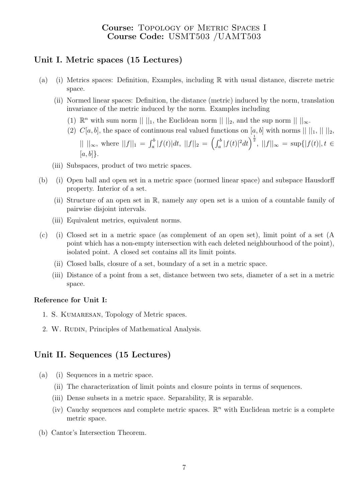# Course: Topology of Metric Spaces I Course Code: USMT503 /UAMT503

# Unit I. Metric spaces (15 Lectures)

- (a) (i) Metrics spaces: Definition, Examples, including R with usual distance, discrete metric space.
	- (ii) Normed linear spaces: Definition, the distance (metric) induced by the norm, translation invariance of the metric induced by the norm. Examples including
		- (1)  $\mathbb{R}^n$  with sum norm  $|| \ ||_1$ , the Euclidean norm  $|| \ ||_2$ , and the sup norm  $|| \ ||_{\infty}$ .
		- (2)  $C[a, b]$ , the space of continuous real valued functions on [a, b] with norms  $|| \, ||_1, || \, ||_2$ ,

 $|| \ ||_{\infty}$ , where  $||f||_1 = \int_a^b |f(t)|dt$ ,  $||f||_2 = \left(\int_a^b |f(t)|^2 dt\right)^{\frac{1}{2}}$ ,  $||f||_{\infty} = \sup\{|f(t)|, t \in$  $[a, b]$ .

- (iii) Subspaces, product of two metric spaces.
- (b) (i) Open ball and open set in a metric space (normed linear space) and subspace Hausdorff property. Interior of a set.
	- (ii) Structure of an open set in R, namely any open set is a union of a countable family of pairwise disjoint intervals.
	- (iii) Equivalent metrics, equivalent norms.
- (c) (i) Closed set in a metric space (as complement of an open set), limit point of a set (A point which has a non-empty intersection with each deleted neighbourhood of the point), isolated point. A closed set contains all its limit points.
	- (ii) Closed balls, closure of a set, boundary of a set in a metric space.
	- (iii) Distance of a point from a set, distance between two sets, diameter of a set in a metric space.

#### Reference for Unit I:

- 1. S. KUMARESAN, Topology of Metric spaces.
- 2. W. RUDIN, Principles of Mathematical Analysis.

# Unit II. Sequences (15 Lectures)

- (a) (i) Sequences in a metric space.
	- (ii) The characterization of limit points and closure points in terms of sequences.
	- (iii) Dense subsets in a metric space. Separability,  $\mathbb R$  is separable.
	- (iv) Cauchy sequences and complete metric spaces.  $\mathbb{R}^n$  with Euclidean metric is a complete metric space.
- (b) Cantor's Intersection Theorem.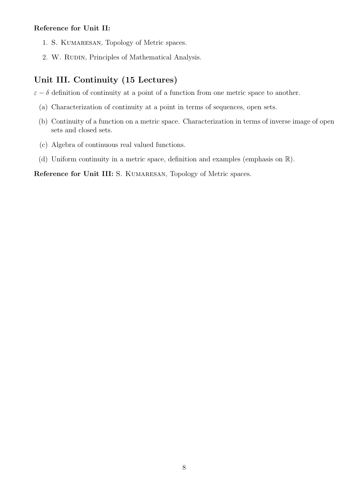### Reference for Unit II:

- 1. S. KUMARESAN, Topology of Metric spaces.
- 2. W. RUDIN, Principles of Mathematical Analysis.

# Unit III. Continuity (15 Lectures)

 $\varepsilon - \delta$  definition of continuity at a point of a function from one metric space to another.

- (a) Characterization of continuity at a point in terms of sequences, open sets.
- (b) Continuity of a function on a metric space. Characterization in terms of inverse image of open sets and closed sets.
- (c) Algebra of continuous real valued functions.
- (d) Uniform continuity in a metric space, definition and examples (emphasis on R).

Reference for Unit III: S. KUMARESAN, Topology of Metric spaces.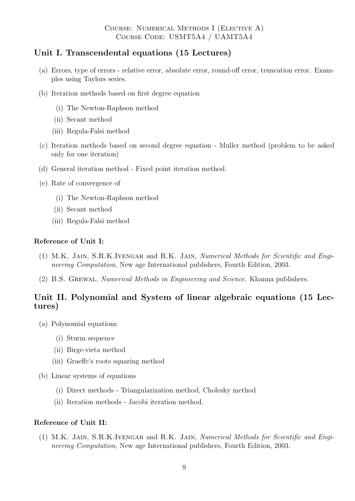# Unit I. Transcendental equations (15 Lectures)

- (a) Errors, type of errors relative error, absolute error, round-off error, truncation error. Examples using Taylors series.
- (b) Iteration methods based on first degree equation
	- (i) The Newton-Raphson method
	- (ii) Secant method
	- (iii) Regula-Falsi method
- (c) Iteration methods based on second degree equation Muller method (problem to be asked only for one iteration)
- (d) General iteration method Fixed point iteration method.
- (e) Rate of convergence of
	- (i) The Newton-Raphson method
	- (ii) Secant method
	- (iii) Regula-Falsi method

#### Reference of Unit I:

- (1) M.K. Jain, S.R.K.Iyengar and R.K. Jain, Numerical Methods for Scientific and Engineering Computation, New age International publishers, Fourth Edition, 2003.
- (2) B.S. Grewal, Numerical Methods in Engineering and Science. Khanna publishers.

# Unit II. Polynomial and System of linear algebraic equations (15 Lectures)

- (a) Polynomial equations
	- (i) Sturm sequence
	- (ii) Birge-vieta method
	- (iii) Graeffe's roots squaring method
- (b) Linear systems of equations
	- (i) Direct methods Triangularization method, Cholesky method
	- (ii) Iteration methods Jacobi iteration method.

#### Reference of Unit II:

(1) M.K. Jain, S.R.K.Iyengar and R.K. Jain, Numerical Methods for Scientific and Engineering Computation, New age International publishers, Fourth Edition, 2003.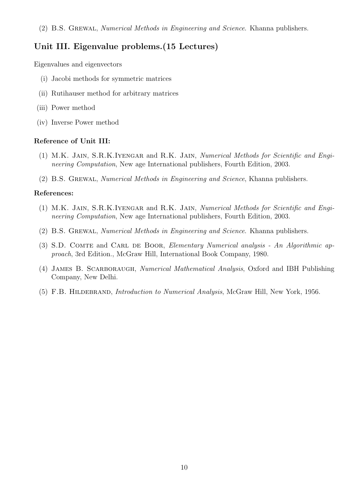# Unit III. Eigenvalue problems.(15 Lectures)

Eigenvalues and eigenvectors

- (i) Jacobi methods for symmetric matrices
- (ii) Rutihauser method for arbitrary matrices
- (iii) Power method
- (iv) Inverse Power method

#### Reference of Unit III:

- (1) M.K. Jain, S.R.K.Iyengar and R.K. Jain, Numerical Methods for Scientific and Engineering Computation, New age International publishers, Fourth Edition, 2003.
- (2) B.S. Grewal, Numerical Methods in Engineering and Science, Khanna publishers.

#### References:

- (1) M.K. Jain, S.R.K.Iyengar and R.K. Jain, Numerical Methods for Scientific and Engineering Computation, New age International publishers, Fourth Edition, 2003.
- (2) B.S. Grewal, Numerical Methods in Engineering and Science. Khanna publishers.
- (3) S.D. COMTE and CARL DE BOOR, Elementary Numerical analysis An Algorithmic approach, 3rd Edition., McGraw Hill, International Book Company, 1980.
- (4) James B. Scarboraugh, Numerical Mathematical Analysis, Oxford and IBH Publishing Company, New Delhi.
- (5) F.B. Hildebrand, Introduction to Numerical Analysis, McGraw Hill, New York, 1956.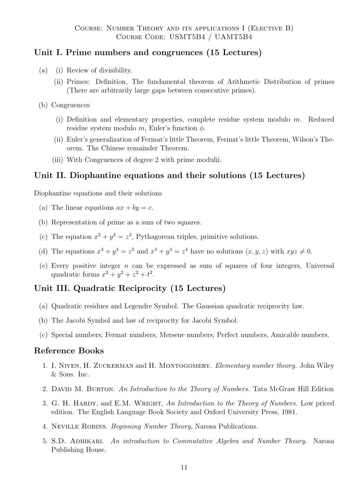# Unit I. Prime numbers and congruences (15 Lectures)

- (a) (i) Review of divisibility.
	- (ii) Primes: Definition, The fundamental theorem of Arithmetic Distribution of primes (There are arbitrarily large gaps between consecutive primes).
- (b) Congruences
	- (i) Definition and elementary properties, complete residue system modulo m. Reduced residue system modulo m, Euler's function  $\phi$ .
	- (ii) Euler's generalization of Fermat's little Theorem, Fermat's little Theorem, Wilson's Theorem. The Chinese remainder Theorem.
	- (iii) With Congruences of degree 2 with prime modulii.

# Unit II. Diophantine equations and their solutions (15 Lectures)

Diophantine equations and their solutions

- (a) The linear equations  $ax + by = c$ .
- (b) Representation of prime as a sum of two squares.
- (c) The equation  $x^2 + y^2 = z^2$ , Pythagorean triples, primitive solutions.
- (d) The equations  $x^4 + y^4 = z^2$  and  $x^4 + y^4 = z^4$  have no solutions  $(x, y, z)$  with  $xyz \neq 0$ .
- (e) Every positive integer n can be expressed as sum of squares of four integers, Universal quadratic forms  $x^2 + y^2 + z^2 + t^2$ .

# Unit III. Quadratic Reciprocity (15 Lectures)

- (a) Quadratic residues and Legendre Symbol. The Gaussian quadratic reciprocity law.
- (b) The Jacobi Symbol and law of reciprocity for Jacobi Symbol.
- (c) Special numbers; Fermat numbers; Mersene numbers; Perfect numbers, Amicable numbers.

# Reference Books

- 1. I. Niven, H. Zuckerman and H. Montogomery. Elementary number theory. John Wiley & Sons. Inc.
- 2. DAVID M. BURTON. An Introduction to the Theory of Numbers. Tata McGraw Hill Edition
- 3. G. H. HARDY, and E.M. WRIGHT, An Introduction to the Theory of Numbers. Low priced edition. The English Language Book Society and Oxford University Press, 1981.
- 4. Neville Robins. Beginning Number Theory, Narosa Publications.
- 5. S.D. Adhikari. An introduction to Commutative Algebra and Number Theory. Narosa Publishing House.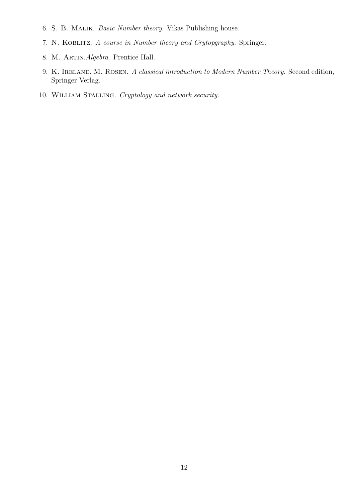- 6. S. B. Malik. Basic Number theory. Vikas Publishing house.
- 7. N. Koblitz. A course in Number theory and Crytopgraphy. Springer.
- 8. M. ARTIN. Algebra. Prentice Hall.
- 9. K. IRELAND, M. ROSEN. A classical introduction to Modern Number Theory. Second edition, Springer Verlag.
- 10. William Stalling. Cryptology and network security.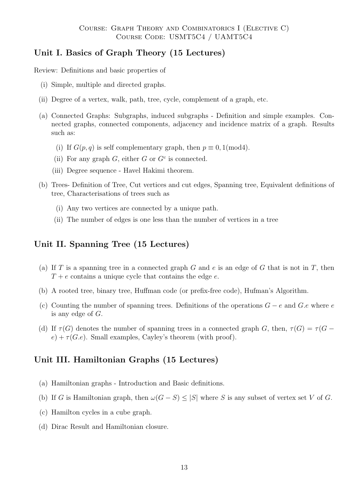# Unit I. Basics of Graph Theory (15 Lectures)

Review: Definitions and basic properties of

- (i) Simple, multiple and directed graphs.
- (ii) Degree of a vertex, walk, path, tree, cycle, complement of a graph, etc.
- (a) Connected Graphs: Subgraphs, induced subgraphs Definition and simple examples. Connected graphs, connected components, adjacency and incidence matrix of a graph. Results such as:
	- (i) If  $G(p,q)$  is self complementary graph, then  $p \equiv 0, 1 \pmod{4}$ .
	- (ii) For any graph  $G$ , either  $G$  or  $G<sup>c</sup>$  is connected.
	- (iii) Degree sequence Havel Hakimi theorem.
- (b) Trees- Definition of Tree, Cut vertices and cut edges, Spanning tree, Equivalent definitions of tree, Characterisations of trees such as
	- (i) Any two vertices are connected by a unique path.
	- (ii) The number of edges is one less than the number of vertices in a tree

# Unit II. Spanning Tree (15 Lectures)

- (a) If T is a spanning tree in a connected graph G and e is an edge of G that is not in T, then  $T + e$  contains a unique cycle that contains the edge e.
- (b) A rooted tree, binary tree, Huffman code (or prefix-free code), Hufman's Algorithm.
- (c) Counting the number of spanning trees. Definitions of the operations  $G e$  and  $G.e$  where  $e$ is any edge of G.
- (d) If  $\tau(G)$  denotes the number of spanning trees in a connected graph G, then,  $\tau(G) = \tau(G$  $e) + \tau(G.e)$ . Small examples, Cayley's theorem (with proof).

# Unit III. Hamiltonian Graphs (15 Lectures)

- (a) Hamiltonian graphs Introduction and Basic definitions.
- (b) If G is Hamiltonian graph, then  $\omega(G-S) \leq |S|$  where S is any subset of vertex set V of G.
- (c) Hamilton cycles in a cube graph.
- (d) Dirac Result and Hamiltonian closure.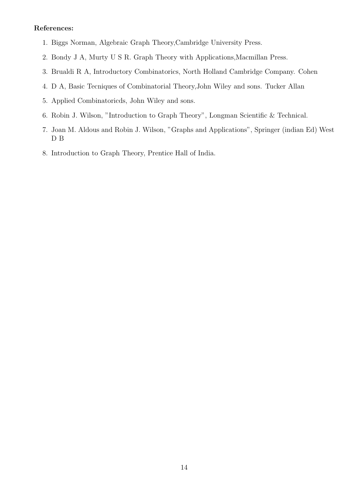#### References:

- 1. Biggs Norman, Algebraic Graph Theory,Cambridge University Press.
- 2. Bondy J A, Murty U S R. Graph Theory with Applications,Macmillan Press.
- 3. Brualdi R A, Introductory Combinatorics, North Holland Cambridge Company. Cohen
- 4. D A, Basic Tecniques of Combinatorial Theory,John Wiley and sons. Tucker Allan
- 5. Applied Combinatoricds, John Wiley and sons.
- 6. Robin J. Wilson, "Introduction to Graph Theory", Longman Scientific & Technical.
- 7. Joan M. Aldous and Robin J. Wilson, "Graphs and Applications", Springer (indian Ed) West D B
- 8. Introduction to Graph Theory, Prentice Hall of India.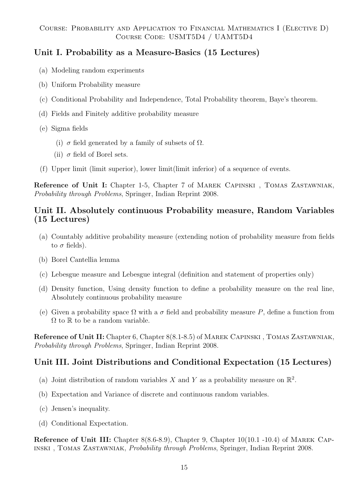# Unit I. Probability as a Measure-Basics (15 Lectures)

- (a) Modeling random experiments
- (b) Uniform Probability measure
- (c) Conditional Probability and Independence, Total Probability theorem, Baye's theorem.
- (d) Fields and Finitely additive probability measure
- (e) Sigma fields
	- (i)  $\sigma$  field generated by a family of subsets of  $\Omega$ .
	- (ii)  $\sigma$  field of Borel sets.
- (f) Upper limit (limit superior), lower limit(limit inferior) of a sequence of events.

Reference of Unit I: Chapter 1-5, Chapter 7 of MAREK CAPINSKI, TOMAS ZASTAWNIAK, Probability through Problems, Springer, Indian Reprint 2008.

# Unit II. Absolutely continuous Probability measure, Random Variables (15 Lectures)

- (a) Countably additive probability measure (extending notion of probability measure from fields to  $\sigma$  fields).
- (b) Borel Cantellia lemma
- (c) Lebesgue measure and Lebesgue integral (definition and statement of properties only)
- (d) Density function, Using density function to define a probability measure on the real line, Absolutely continuous probability measure
- (e) Given a probability space  $\Omega$  with a  $\sigma$  field and probability measure P, define a function from  $\Omega$  to  $\mathbb R$  to be a random variable.

Reference of Unit II: Chapter 6, Chapter 8(8.1-8.5) of Marek Capinski , Tomas Zastawniak, Probability through Problems, Springer, Indian Reprint 2008.

# Unit III. Joint Distributions and Conditional Expectation (15 Lectures)

- (a) Joint distribution of random variables X and Y as a probability measure on  $\mathbb{R}^2$ .
- (b) Expectation and Variance of discrete and continuous random variables.
- (c) Jensen's inequality.
- (d) Conditional Expectation.

Reference of Unit III: Chapter 8(8.6-8.9), Chapter 9, Chapter 10(10.1 -10.4) of MAREK CAPinski , Tomas Zastawniak, Probability through Problems, Springer, Indian Reprint 2008.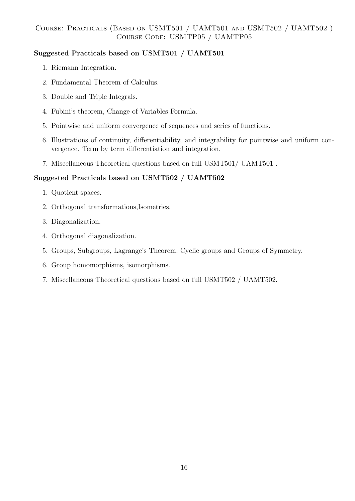# Suggested Practicals based on USMT501 / UAMT501

- 1. Riemann Integration.
- 2. Fundamental Theorem of Calculus.
- 3. Double and Triple Integrals.
- 4. Fubini's theorem, Change of Variables Formula.
- 5. Pointwise and uniform convergence of sequences and series of functions.
- 6. Illustrations of continuity, differentiability, and integrability for pointwise and uniform convergence. Term by term differentiation and integration.
- 7. Miscellaneous Theoretical questions based on full USMT501/ UAMT501 .

# Suggested Practicals based on USMT502 / UAMT502

- 1. Quotient spaces.
- 2. Orthogonal transformations,Isometries.
- 3. Diagonalization.
- 4. Orthogonal diagonalization.
- 5. Groups, Subgroups, Lagrange's Theorem, Cyclic groups and Groups of Symmetry.
- 6. Group homomorphisms, isomorphisms.
- 7. Miscellaneous Theoretical questions based on full USMT502 / UAMT502.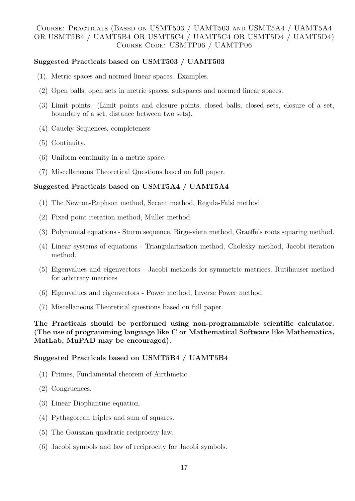### Course: Practicals (Based on USMT503 / UAMT503 and USMT5A4 / UAMT5A4 OR USMT5B4 / UAMT5B4 OR USMT5C4 / UAMT5C4 OR USMT5D4 / UAMT5D4) Course Code: USMTP06 / UAMTP06

### Suggested Practicals based on USMT503 / UAMT503

- (1). Metric spaces and normed linear spaces. Examples.
- (2) Open balls, open sets in metric spaces, subspaces and normed linear spaces.
- (3) Limit points: (Limit points and closure points, closed balls, closed sets, closure of a set, boundary of a set, distance between two sets).
- (4) Cauchy Sequences, completeness
- (5) Continuity.
- (6) Uniform continuity in a metric space.
- (7) Miscellaneous Theoretical Questions based on full paper.

#### Suggested Practicals based on USMT5A4 / UAMT5A4

- (1) The Newton-Raphson method, Secant method, Regula-Falsi method.
- (2) Fixed point iteration method, Muller method.
- (3) Polynomial equations Sturm sequence, Birge-vieta method, Graeffe's roots squaring method.
- (4) Linear systems of equations Triangularization method, Cholesky method, Jacobi iteration method.
- (5) Eigenvalues and eigenvectors Jacobi methods for symmetric matrices, Rutihauser method for arbitrary matrices
- (6) Eigenvalues and eigenvectors Power method, Inverse Power method.
- (7) Miscellaneous Theoretical questions based on full paper.

The Practicals should be performed using non-programmable scientific calculator. (The use of programming language like C or Mathematical Software like Mathematica, MatLab, MuPAD may be encouraged).

### Suggested Practicals based on USMT5B4 / UAMT5B4

- (1) Primes, Fundamental theorem of Airthmetic.
- (2) Congruences.
- (3) Linear Diophantine equation.
- (4) Pythagorean triples and sum of squares.
- (5) The Gaussian quadratic reciprocity law.
- (6) Jacobi symbols and law of reciprocity for Jacobi symbols.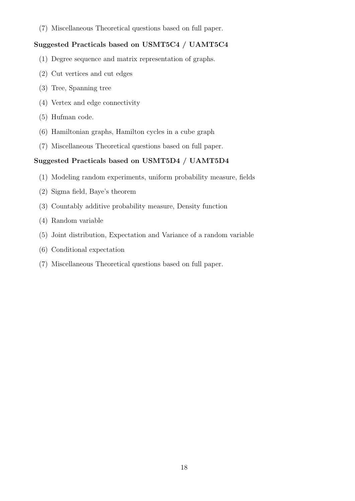(7) Miscellaneous Theoretical questions based on full paper.

# Suggested Practicals based on USMT5C4 / UAMT5C4

- (1) Degree sequence and matrix representation of graphs.
- (2) Cut vertices and cut edges
- (3) Tree, Spanning tree
- (4) Vertex and edge connectivity
- (5) Hufman code.
- (6) Hamiltonian graphs, Hamilton cycles in a cube graph
- (7) Miscellaneous Theoretical questions based on full paper.

### Suggested Practicals based on USMT5D4 / UAMT5D4

- (1) Modeling random experiments, uniform probability measure, fields
- (2) Sigma field, Baye's theorem
- (3) Countably additive probability measure, Density function
- (4) Random variable
- (5) Joint distribution, Expectation and Variance of a random variable
- (6) Conditional expectation
- (7) Miscellaneous Theoretical questions based on full paper.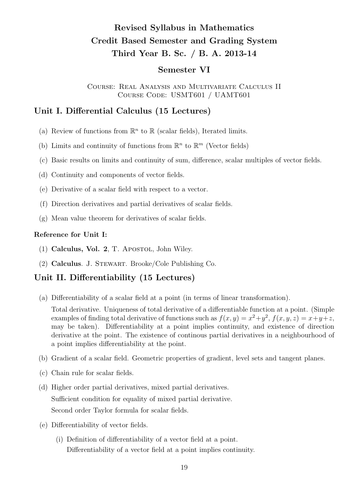# Revised Syllabus in Mathematics Credit Based Semester and Grading System Third Year B. Sc. / B. A. 2013-14

# Semester VI

Course: Real Analysis and Multivariate Calculus II Course Code: USMT601 / UAMT601

# Unit I. Differential Calculus (15 Lectures)

- (a) Review of functions from  $\mathbb{R}^n$  to  $\mathbb{R}$  (scalar fields), Iterated limits.
- (b) Limits and continuity of functions from  $\mathbb{R}^n$  to  $\mathbb{R}^m$  (Vector fields)
- (c) Basic results on limits and continuity of sum, difference, scalar multiples of vector fields.
- (d) Continuity and components of vector fields.
- (e) Derivative of a scalar field with respect to a vector.
- (f) Direction derivatives and partial derivatives of scalar fields.
- (g) Mean value theorem for derivatives of scalar fields.

#### Reference for Unit I:

- (1) Calculus, Vol. 2, T. Apostol, John Wiley.
- (2) Calculus. J. Stewart. Brooke/Cole Publishing Co.

# Unit II. Differentiability (15 Lectures)

(a) Differentiability of a scalar field at a point (in terms of linear transformation).

Total derivative. Uniqueness of total derivative of a differentiable function at a point. (Simple examples of finding total derivative of functions such as  $f(x, y) = x^2 + y^2$ ,  $f(x, y, z) = x + y + z$ , may be taken). Differentiability at a point implies continuity, and existence of direction derivative at the point. The existence of continous partial derivatives in a neighbourhood of a point implies differentiability at the point.

- (b) Gradient of a scalar field. Geometric properties of gradient, level sets and tangent planes.
- (c) Chain rule for scalar fields.
- (d) Higher order partial derivatives, mixed partial derivatives. Sufficient condition for equality of mixed partial derivative. Second order Taylor formula for scalar fields.
- (e) Differentiability of vector fields.
	- (i) Definition of differentiability of a vector field at a point. Differentiability of a vector field at a point implies continuity.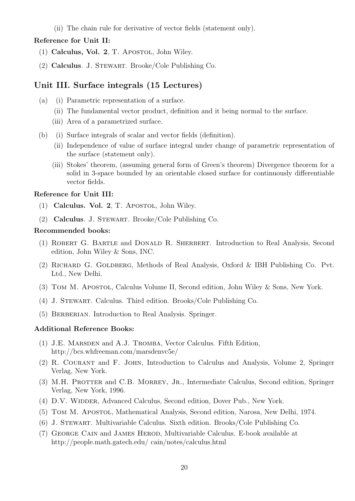(ii) The chain rule for derivative of vector fields (statement only).

#### Reference for Unit II:

- $(1)$  Calculus, Vol. 2, T. Apostol, John Wiley.
- (2) Calculus. J. Stewart. Brooke/Cole Publishing Co.

### Unit III. Surface integrals (15 Lectures)

- (a) (i) Parametric representation of a surface.
	- (ii) The fundamental vector product, definition and it being normal to the surface.
	- (iii) Area of a parametrized surface.
- (b) (i) Surface integrals of scalar and vector fields (definition).
	- (ii) Independence of value of surface integral under change of parametric representation of the surface (statement only).
	- (iii) Stokes' theorem, (assuming general form of Green's theorem) Divergence theorem for a solid in 3-space bounded by an orientable closed surface for continuously differentiable vector fields.

#### Reference for Unit III:

- (1) Calculus. Vol. 2, T. Apostol, John Wiley.
- (2) Calculus. J. Stewart. Brooke/Cole Publishing Co.

#### Recommended books:

- (1) Robert G. Bartle and Donald R. Sherbert. Introduction to Real Analysis, Second edition, John Wiley & Sons, INC.
- (2) Richard G. Goldberg, Methods of Real Analysis, Oxford & IBH Publishing Co. Pvt. Ltd., New Delhi.
- (3) Tom M. Apostol, Calculus Volume II, Second edition, John Wiley & Sons, New York.
- (4) J. Stewart. Calculus. Third edition. Brooks/Cole Publishing Co.
- (5) BERBERIAN. Introduction to Real Analysis. Springer.

#### Additional Reference Books:

- (1) J.E. Marsden and A.J. Tromba, Vector Calculus. Fifth Edition, http://bcs.whfreeman.com/marsdenvc5e/
- (2) R. Courant and F. John, Introduction to Calculus and Analysis, Volume 2, Springer Verlag, New York.
- (3) M.H. PROTTER and C.B. MORREY, JR., Intermediate Calculus, Second edition, Springer Verlag, New York, 1996.
- (4) D.V. WIDDER, Advanced Calculus, Second edition, Dover Pub., New York.
- (5) Tom M. Apostol, Mathematical Analysis, Second edition, Narosa, New Delhi, 1974.
- (6) J. Stewart. Multivariable Calculus. Sixth edition. Brooks/Cole Publishing Co.
- (7) George Cain and James Herod, Multivariable Calculus. E-book available at http://people.math.gatech.edu/ cain/notes/calculus.html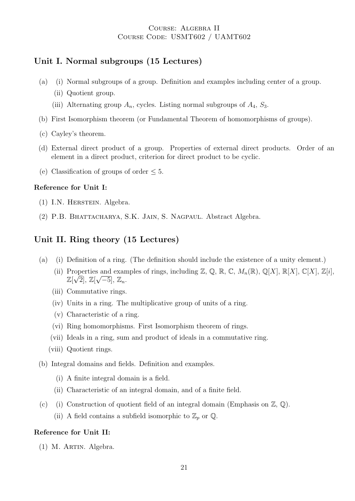### Course: Algebra II Course Code: USMT602 / UAMT602

# Unit I. Normal subgroups (15 Lectures)

- (a) (i) Normal subgroups of a group. Definition and examples including center of a group.
	- (ii) Quotient group.
	- (iii) Alternating group  $A_n$ , cycles. Listing normal subgroups of  $A_4$ ,  $S_3$ .
- (b) First Isomorphism theorem (or Fundamental Theorem of homomorphisms of groups).
- (c) Cayley's theorem.
- (d) External direct product of a group. Properties of external direct products. Order of an element in a direct product, criterion for direct product to be cyclic.
- (e) Classification of groups of order  $\leq 5$ .

#### Reference for Unit I:

- (1) I.N. Herstein. Algebra.
- (2) P.B. Bhattacharya, S.K. Jain, S. Nagpaul. Abstract Algebra.

# Unit II. Ring theory (15 Lectures)

- (a) (i) Definition of a ring. (The definition should include the existence of a unity element.)
	- (ii) Properties and examples of rings, including Z, Q, R, C,  $M_n(\mathbb{R})$ , Q[X],  $\mathbb{R}[X]$ , C[X], Z[i],  $\mathbb{Z}[\sqrt{2}], \, \mathbb{Z}[\sqrt{-5}], \, \mathbb{Z}_n.$
	- (iii) Commutative rings.
	- (iv) Units in a ring. The multiplicative group of units of a ring.
	- (v) Characteristic of a ring.
	- (vi) Ring homomorphisms. First Isomorphism theorem of rings.
	- (vii) Ideals in a ring, sum and product of ideals in a commutative ring.
	- (viii) Quotient rings.

#### (b) Integral domains and fields. Definition and examples.

- (i) A finite integral domain is a field.
- (ii) Characteristic of an integral domain, and of a finite field.
- (c) (i) Construction of quotient field of an integral domain (Emphasis on  $\mathbb{Z}, \mathbb{Q}$ ).
	- (ii) A field contains a subfield isomorphic to  $\mathbb{Z}_p$  or  $\mathbb{Q}$ .

#### Reference for Unit II:

(1) M. Artin. Algebra.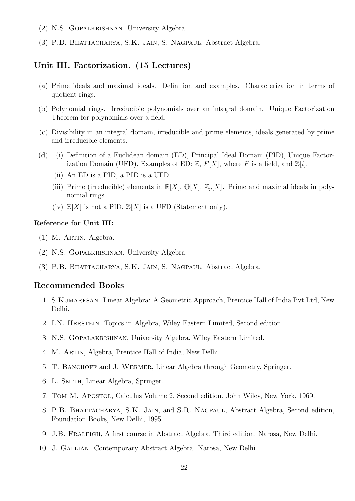- (2) N.S. Gopalkrishnan. University Algebra.
- (3) P.B. Bhattacharya, S.K. Jain, S. Nagpaul. Abstract Algebra.

### Unit III. Factorization. (15 Lectures)

- (a) Prime ideals and maximal ideals. Definition and examples. Characterization in terms of quotient rings.
- (b) Polynomial rings. Irreducible polynomials over an integral domain. Unique Factorization Theorem for polynomials over a field.
- (c) Divisibility in an integral domain, irreducible and prime elements, ideals generated by prime and irreducible elements.
- (d) (i) Definition of a Euclidean domain (ED), Principal Ideal Domain (PID), Unique Factorization Domain (UFD). Examples of ED:  $\mathbb{Z}, F[X]$ , where F is a field, and  $\mathbb{Z}[i]$ .
	- (ii) An ED is a PID, a PID is a UFD.
	- (iii) Prime (irreducible) elements in  $\mathbb{R}[X], \mathbb{Q}[X], \mathbb{Z}_p[X]$ . Prime and maximal ideals in polynomial rings.
	- (iv)  $\mathbb{Z}[X]$  is not a PID.  $\mathbb{Z}[X]$  is a UFD (Statement only).

#### Reference for Unit III:

- (1) M. Artin. Algebra.
- (2) N.S. Gopalkrishnan. University Algebra.
- (3) P.B. Bhattacharya, S.K. Jain, S. Nagpaul. Abstract Algebra.

### Recommended Books

- 1. S. KUMARESAN. Linear Algebra: A Geometric Approach, Prentice Hall of India Pvt Ltd, New Delhi.
- 2. I.N. Herstein. Topics in Algebra, Wiley Eastern Limited, Second edition.
- 3. N.S. Gopalakrishnan, University Algebra, Wiley Eastern Limited.
- 4. M. Artin, Algebra, Prentice Hall of India, New Delhi.
- 5. T. Banchoff and J. Wermer, Linear Algebra through Geometry, Springer.
- 6. L. Smith, Linear Algebra, Springer.
- 7. Tom M. Apostol, Calculus Volume 2, Second edition, John Wiley, New York, 1969.
- 8. P.B. Bhattacharya, S.K. Jain, and S.R. Nagpaul, Abstract Algebra, Second edition, Foundation Books, New Delhi, 1995.
- 9. J.B. Fraleigh, A first course in Abstract Algebra, Third edition, Narosa, New Delhi.
- 10. J. Gallian. Contemporary Abstract Algebra. Narosa, New Delhi.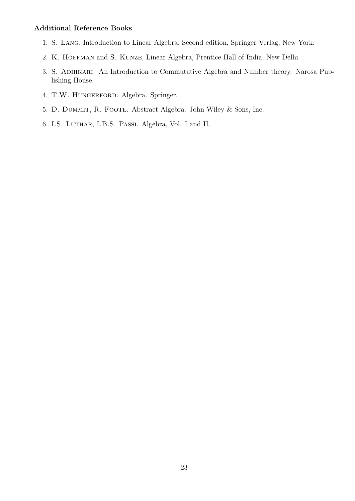#### Additional Reference Books

- 1. S. Lang, Introduction to Linear Algebra, Second edition, Springer Verlag, New York.
- 2. K. HOFFMAN and S. KUNZE, Linear Algebra, Prentice Hall of India, New Delhi.
- 3. S. Adhikari. An Introduction to Commutative Algebra and Number theory. Narosa Publishing House.
- 4. T.W. HUNGERFORD. Algebra. Springer.
- 5. D. Dummit, R. Foote. Abstract Algebra. John Wiley & Sons, Inc.
- 6. I.S. Luthar, I.B.S. Passi. Algebra, Vol. I and II.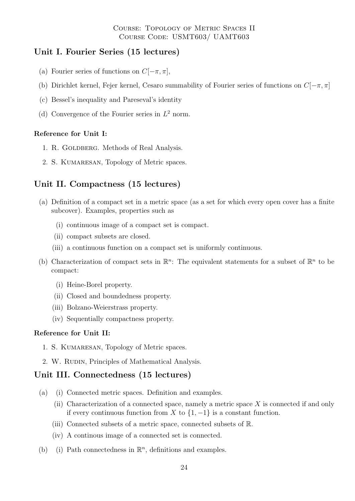Course: Topology of Metric Spaces II Course Code: USMT603/ UAMT603

# Unit I. Fourier Series (15 lectures)

- (a) Fourier series of functions on  $C[-\pi, \pi]$ ,
- (b) Dirichlet kernel, Fejer kernel, Cesaro summability of Fourier series of functions on  $C[-\pi, \pi]$
- (c) Bessel's inequality and Pareseval's identity
- (d) Convergence of the Fourier series in  $L^2$  norm.

#### Reference for Unit I:

- 1. R. GOLDBERG. Methods of Real Analysis.
- 2. S. KUMARESAN, Topology of Metric spaces.

# Unit II. Compactness (15 lectures)

- (a) Definition of a compact set in a metric space (as a set for which every open cover has a finite subcover). Examples, properties such as
	- (i) continuous image of a compact set is compact.
	- (ii) compact subsets are closed.
	- (iii) a continuous function on a compact set is uniformly continuous.
- (b) Characterization of compact sets in  $\mathbb{R}^n$ : The equivalent statements for a subset of  $\mathbb{R}^n$  to be compact:
	- (i) Heine-Borel property.
	- (ii) Closed and boundedness property.
	- (iii) Bolzano-Weierstrass property.
	- (iv) Sequentially compactness property.

#### Reference for Unit II:

- 1. S. KUMARESAN, Topology of Metric spaces.
- 2. W. RUDIN, Principles of Mathematical Analysis.

### Unit III. Connectedness (15 lectures)

- (a) (i) Connected metric spaces. Definition and examples.
	- (ii) Characterization of a connected space, namely a metric space X is connected if and only if every continuous function from X to  $\{1, -1\}$  is a constant function.
	- (iii) Connected subsets of a metric space, connected subsets of R.
	- (iv) A continous image of a connected set is connected.
- (b) (i) Path connectedness in  $\mathbb{R}^n$ , definitions and examples.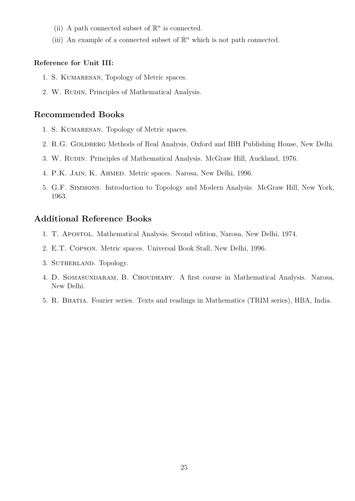- (ii) A path connected subset of  $\mathbb{R}^n$  is connected.
- (iii) An example of a connected subset of  $\mathbb{R}^n$  which is not path connected.

#### Reference for Unit III:

- 1. S. KUMARESAN, Topology of Metric spaces.
- 2. W. RUDIN, Principles of Mathematical Analysis.

# Recommended Books

- 1. S. KUMARESAN. Topology of Metric spaces.
- 2. R.G. GOLDBERG Methods of Real Analysis, Oxford and IBH Publishing House, New Delhi.
- 3. W. RUDIN. Principles of Mathematical Analysis. McGraw Hill, Auckland, 1976.
- 4. P.K. Jain, K. Ahmed. Metric spaces. Narosa, New Delhi, 1996.
- 5. G.F. Simmons. Introduction to Topology and Modern Analysis. McGraw Hill, New York, 1963.

# Additional Reference Books

- 1. T. Apostol. Mathematical Analysis, Second edition, Narosa, New Delhi, 1974.
- 2. E.T. Copson. Metric spaces. Universal Book Stall, New Delhi, 1996.
- 3. SUTHERLAND. Topology.
- 4. D. Somasundaram, B. Choudhary. A first course in Mathematical Analysis. Narosa, New Delhi.
- 5. R. Bhatia. Fourier series. Texts and readings in Mathematics (TRIM series), HBA, India.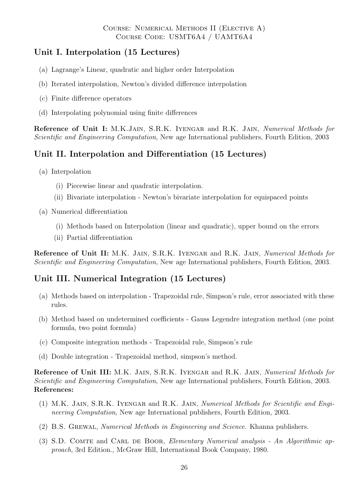# Unit I. Interpolation (15 Lectures)

- (a) Lagrange's Linear, quadratic and higher order Interpolation
- (b) Iterated interpolation, Newton's divided difference interpolation
- (c) Finite difference operators
- (d) Interpolating polynomial using finite differences

Reference of Unit I: M.K.JAIN, S.R.K. IYENGAR and R.K. JAIN, Numerical Methods for Scientific and Engineering Computation, New age International publishers, Fourth Edition, 2003

# Unit II. Interpolation and Differentiation (15 Lectures)

- (a) Interpolation
	- (i) Piecewise linear and quadratic interpolation.
	- (ii) Bivariate interpolation Newton's bivariate interpolation for equispaced points
- (a) Numerical differentiation
	- (i) Methods based on Interpolation (linear and quadratic), upper bound on the errors
	- (ii) Partial differentiation

Reference of Unit II: M.K. JAIN, S.R.K. IYENGAR and R.K. JAIN, Numerical Methods for Scientific and Engineering Computation, New age International publishers, Fourth Edition, 2003.

# Unit III. Numerical Integration (15 Lectures)

- (a) Methods based on interpolation Trapezoidal rule, Simpson's rule, error associated with these rules.
- (b) Method based on undetermined coefficients Gauss Legendre integration method (one point formula, two point formula)
- (c) Composite integration methods Trapezoidal rule, Simpson's rule
- (d) Double integration Trapezoidal method, simpson's method.

Reference of Unit III: M.K. JAIN, S.R.K. IYENGAR and R.K. JAIN, Numerical Methods for Scientific and Engineering Computation, New age International publishers, Fourth Edition, 2003. References:

- (1) M.K. Jain, S.R.K. Iyengar and R.K. Jain, Numerical Methods for Scientific and Engineering Computation, New age International publishers, Fourth Edition, 2003.
- (2) B.S. Grewal, Numerical Methods in Engineering and Science. Khanna publishers.
- (3) S.D. COMTE and CARL DE BOOR, Elementary Numerical analysis An Algorithmic approach, 3rd Edition., McGraw Hill, International Book Company, 1980.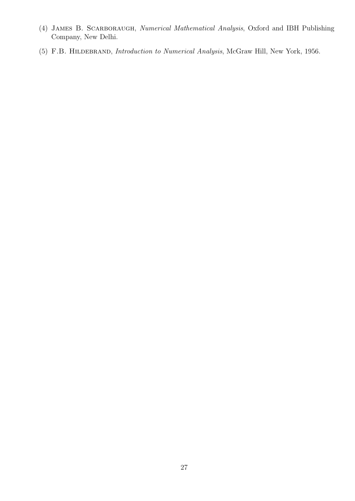- (4) James B. Scarboraugh, Numerical Mathematical Analysis, Oxford and IBH Publishing Company, New Delhi.
- (5) F.B. Hildebrand, Introduction to Numerical Analysis, McGraw Hill, New York, 1956.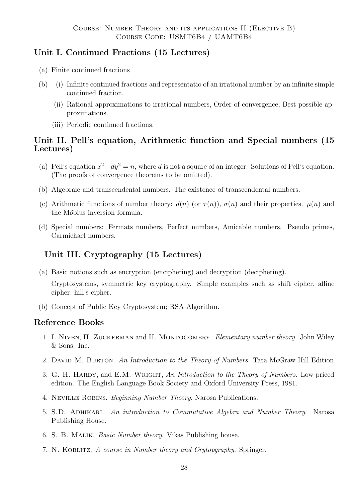# Unit I. Continued Fractions (15 Lectures)

- (a) Finite continued fractions
- (b) (i) Infinite continued fractions and representatio of an irrational number by an infinite simple continued fraction.
	- (ii) Rational approximations to irrational numbers, Order of convergence, Best possible approximations.
	- (iii) Periodic continued fractions.

# Unit II. Pell's equation, Arithmetic function and Special numbers (15 Lectures)

- (a) Pell's equation  $x^2 dy^2 = n$ , where d is not a square of an integer. Solutions of Pell's equation. (The proofs of convergence theorems to be omitted).
- (b) Algebraic and transcendental numbers. The existence of transcendental numbers.
- (c) Arithmetic functions of number theory:  $d(n)$  (or  $\tau(n)$ ),  $\sigma(n)$  and their properties.  $\mu(n)$  and the Möbius inversion formula.
- (d) Special numbers: Fermats numbers, Perfect numbers, Amicable numbers. Pseudo primes, Carmichael numbers.

# Unit III. Cryptography (15 Lectures)

(a) Basic notions such as encryption (enciphering) and decryption (deciphering).

Cryptosystems, symmetric key cryptography. Simple examples such as shift cipher, affine cipher, hill's cipher.

(b) Concept of Public Key Cryptosystem; RSA Algorithm.

# Reference Books

- 1. I. Niven, H. Zuckerman and H. Montogomery. Elementary number theory. John Wiley & Sons. Inc.
- 2. DAVID M. BURTON. An Introduction to the Theory of Numbers. Tata McGraw Hill Edition
- 3. G. H. HARDY, and E.M. WRIGHT, An Introduction to the Theory of Numbers. Low priced edition. The English Language Book Society and Oxford University Press, 1981.
- 4. Neville Robins. Beginning Number Theory, Narosa Publications.
- 5. S.D. Adhikari. An introduction to Commutative Algebra and Number Theory. Narosa Publishing House.
- 6. S. B. Malik. Basic Number theory. Vikas Publishing house.
- 7. N. Koblitz. A course in Number theory and Crytopgraphy. Springer.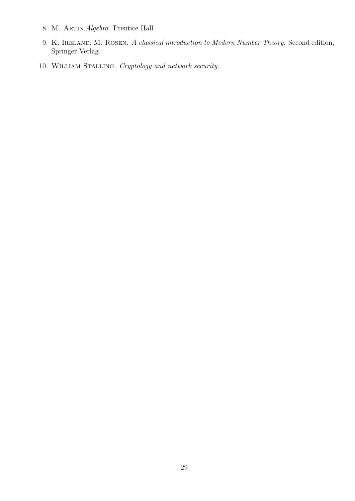- 8. M. ARTIN. Algebra. Prentice Hall.
- 9. K. IRELAND, M. ROSEN. A classical introduction to Modern Number Theory. Second edition, Springer Verlag.
- 10. William Stalling. Cryptology and network security.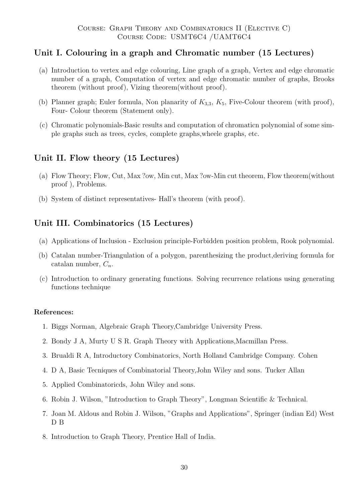# Unit I. Colouring in a graph and Chromatic number (15 Lectures)

- (a) Introduction to vertex and edge colouring, Line graph of a graph, Vertex and edge chromatic number of a graph, Computation of vertex and edge chromatic number of graphs, Brooks theorem (without proof), Vizing theorem(without proof).
- (b) Planner graph; Euler formula, Non planarity of  $K_{3,3}$ ,  $K_5$ , Five-Colour theorem (with proof), Four- Colour theorem (Statement only).
- (c) Chromatic polynomials-Basic results and computation of chromaticn polynomial of some simple graphs such as trees, cycles, complete graphs,wheele graphs, etc.

# Unit II. Flow theory (15 Lectures)

- (a) Flow Theory; Flow, Cut, Max ?ow, Min cut, Max ?ow-Min cut theorem, Flow theorem(without proof ), Problems.
- (b) System of distinct representatives- Hall's theorem (with proof).

# Unit III. Combinatorics (15 Lectures)

- (a) Applications of Inclusion Exclusion principle-Forbidden position problem, Rook polynomial.
- (b) Catalan number-Triangulation of a polygon, parenthesizing the product,deriving formula for catalan number,  $C_n$ .
- (c) Introduction to ordinary generating functions. Solving recurrence relations using generating functions technique

#### References:

- 1. Biggs Norman, Algebraic Graph Theory,Cambridge University Press.
- 2. Bondy J A, Murty U S R. Graph Theory with Applications,Macmillan Press.
- 3. Brualdi R A, Introductory Combinatorics, North Holland Cambridge Company. Cohen
- 4. D A, Basic Tecniques of Combinatorial Theory,John Wiley and sons. Tucker Allan
- 5. Applied Combinatoricds, John Wiley and sons.
- 6. Robin J. Wilson, "Introduction to Graph Theory", Longman Scientific & Technical.
- 7. Joan M. Aldous and Robin J. Wilson, "Graphs and Applications", Springer (indian Ed) West D B
- 8. Introduction to Graph Theory, Prentice Hall of India.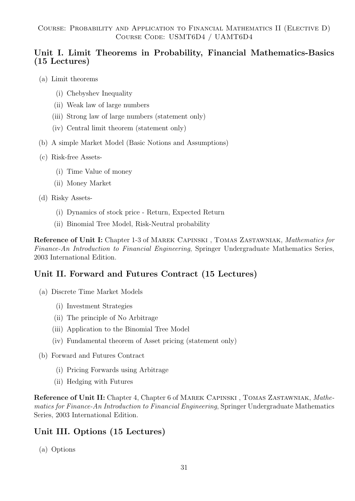# Unit I. Limit Theorems in Probability, Financial Mathematics-Basics (15 Lectures)

- (a) Limit theorems
	- (i) Chebyshev Inequality
	- (ii) Weak law of large numbers
	- (iii) Strong law of large numbers (statement only)
	- (iv) Central limit theorem (statement only)
- (b) A simple Market Model (Basic Notions and Assumptions)
- (c) Risk-free Assets-
	- (i) Time Value of money
	- (ii) Money Market
- (d) Risky Assets-
	- (i) Dynamics of stock price Return, Expected Return
	- (ii) Binomial Tree Model, Risk-Neutral probability

Reference of Unit I: Chapter 1-3 of Marek Capinski , Tomas Zastawniak, Mathematics for Finance-An Introduction to Financial Engineering, Springer Undergraduate Mathematics Series, 2003 International Edition.

# Unit II. Forward and Futures Contract (15 Lectures)

- (a) Discrete Time Market Models
	- (i) Investment Strategies
	- (ii) The principle of No Arbitrage
	- (iii) Application to the Binomial Tree Model
	- (iv) Fundamental theorem of Asset pricing (statement only)
- (b) Forward and Futures Contract
	- (i) Pricing Forwards using Arbitrage
	- (ii) Hedging with Futures

Reference of Unit II: Chapter 4, Chapter 6 of MAREK CAPINSKI, TOMAS ZASTAWNIAK, Mathematics for Finance-An Introduction to Financial Engineering, Springer Undergraduate Mathematics Series, 2003 International Edition.

# Unit III. Options (15 Lectures)

(a) Options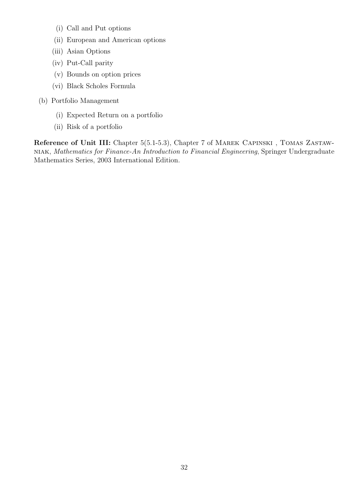- (i) Call and Put options
- (ii) European and American options
- (iii) Asian Options
- (iv) Put-Call parity
- (v) Bounds on option prices
- (vi) Black Scholes Formula
- (b) Portfolio Management
	- (i) Expected Return on a portfolio
	- (ii) Risk of a portfolio

Reference of Unit III: Chapter 5(5.1-5.3), Chapter 7 of MAREK CAPINSKI, TOMAS ZASTAWniak, Mathematics for Finance-An Introduction to Financial Engineering, Springer Undergraduate Mathematics Series, 2003 International Edition.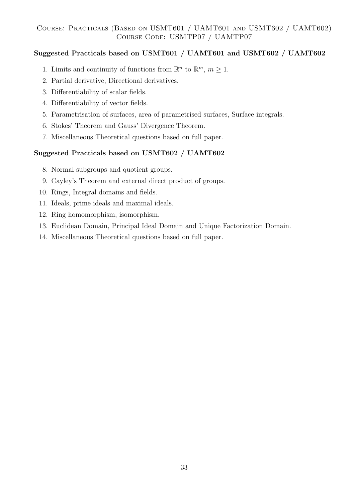# Suggested Practicals based on USMT601 / UAMT601 and USMT602 / UAMT602

- 1. Limits and continuity of functions from  $\mathbb{R}^n$  to  $\mathbb{R}^m$ ,  $m \geq 1$ .
- 2. Partial derivative, Directional derivatives.
- 3. Differentiability of scalar fields.
- 4. Differentiability of vector fields.
- 5. Parametrisation of surfaces, area of parametrised surfaces, Surface integrals.
- 6. Stokes' Theorem and Gauss' Divergence Theorem.
- 7. Miscellaneous Theoretical questions based on full paper.

# Suggested Practicals based on USMT602 / UAMT602

- 8. Normal subgroups and quotient groups.
- 9. Cayley's Theorem and external direct product of groups.
- 10. Rings, Integral domains and fields.
- 11. Ideals, prime ideals and maximal ideals.
- 12. Ring homomorphism, isomorphism.
- 13. Euclidean Domain, Principal Ideal Domain and Unique Factorization Domain.
- 14. Miscellaneous Theoretical questions based on full paper.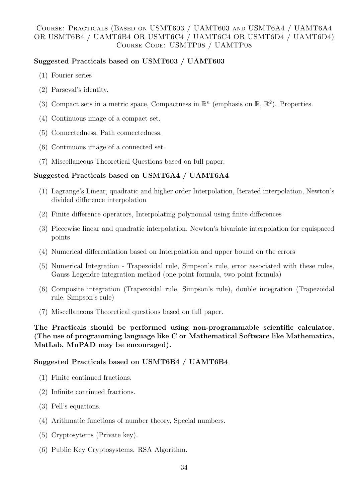# Course: Practicals (Based on USMT603 / UAMT603 and USMT6A4 / UAMT6A4 OR USMT6B4 / UAMT6B4 OR USMT6C4 / UAMT6C4 OR USMT6D4 / UAMT6D4) Course Code: USMTP08 / UAMTP08

### Suggested Practicals based on USMT603 / UAMT603

- (1) Fourier series
- (2) Parseval's identity.
- (3) Compact sets in a metric space, Compactness in  $\mathbb{R}^n$  (emphasis on  $\mathbb{R}, \mathbb{R}^2$ ). Properties.
- (4) Continuous image of a compact set.
- (5) Connectedness, Path connectedness.
- (6) Continuous image of a connected set.
- (7) Miscellaneous Theoretical Questions based on full paper.

### Suggested Practicals based on USMT6A4 / UAMT6A4

- (1) Lagrange's Linear, quadratic and higher order Interpolation, Iterated interpolation, Newton's divided difference interpolation
- (2) Finite difference operators, Interpolating polynomial using finite differences
- (3) Piecewise linear and quadratic interpolation, Newton's bivariate interpolation for equispaced points
- (4) Numerical differentiation based on Interpolation and upper bound on the errors
- (5) Numerical Integration Trapezoidal rule, Simpson's rule, error associated with these rules, Gauss Legendre integration method (one point formula, two point formula)
- (6) Composite integration (Trapezoidal rule, Simpson's rule), double integration (Trapezoidal rule, Simpson's rule)
- (7) Miscellaneous Theoretical questions based on full paper.

### The Practicals should be performed using non-programmable scientific calculator. (The use of programming language like C or Mathematical Software like Mathematica, MatLab, MuPAD may be encouraged).

# Suggested Practicals based on USMT6B4 / UAMT6B4

- (1) Finite continued fractions.
- (2) Infinite continued fractions.
- (3) Pell's equations.
- (4) Arithmatic functions of number theory, Special numbers.
- (5) Cryptosytems (Private key).
- (6) Public Key Cryptosystems. RSA Algorithm.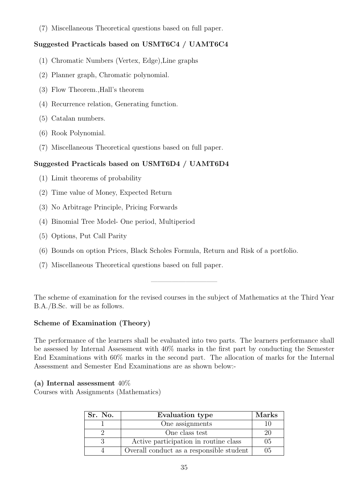(7) Miscellaneous Theoretical questions based on full paper.

# Suggested Practicals based on USMT6C4 / UAMT6C4

- (1) Chromatic Numbers (Vertex, Edge),Line graphs
- (2) Planner graph, Chromatic polynomial.
- (3) Flow Theorem.,Hall's theorem
- (4) Recurrence relation, Generating function.
- (5) Catalan numbers.
- (6) Rook Polynomial.
- (7) Miscellaneous Theoretical questions based on full paper.

# Suggested Practicals based on USMT6D4 / UAMT6D4

- (1) Limit theorems of probability
- (2) Time value of Money, Expected Return
- (3) No Arbitrage Principle, Pricing Forwards
- (4) Binomial Tree Model- One period, Multiperiod
- (5) Options, Put Call Parity
- (6) Bounds on option Prices, Black Scholes Formula, Return and Risk of a portfolio.
- (7) Miscellaneous Theoretical questions based on full paper.

The scheme of examination for the revised courses in the subject of Mathematics at the Third Year B.A./B.Sc. will be as follows.

—————————–

# Scheme of Examination (Theory)

The performance of the learners shall be evaluated into two parts. The learners performance shall be assessed by Internal Assessment with 40% marks in the first part by conducting the Semester End Examinations with 60% marks in the second part. The allocation of marks for the Internal Assessment and Semester End Examinations are as shown below:-

# (a) Internal assessment  $40\%$

Courses with Assignments (Mathematics)

| Sr. No. | <b>Evaluation type</b>                   | Marks |
|---------|------------------------------------------|-------|
|         | One assignments                          |       |
|         | One class test                           | 20    |
|         | Active participation in routine class    | 0.5   |
|         | Overall conduct as a responsible student | 05    |